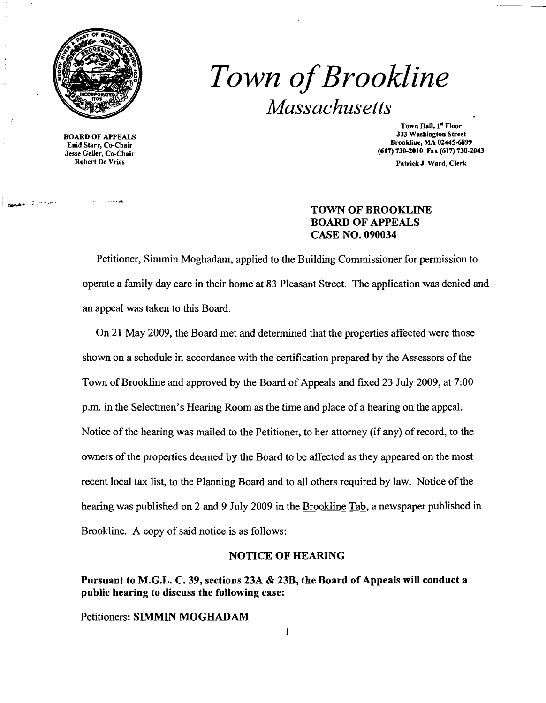

# *Town ofBrookline Massachusetts*

**BOARD OF APPEALS** Robert De Vries

~~+ •. =.'''-'.--'

Town Hall, 1<sup>st</sup> Floor<br>333 Washington Street Brookline, MA 02445-6899<br>
Enid Starr, Co-Chair<br>
Jesse Geller, Co-Chair (617) 730-2010 Fax (617) 730-2 (617) 730-2010 Fax (617) 730-2043

Patrick J. Ward, Clerk

### TOWN OF BROOKLINE BOARD OF APPEALS CASE NO. 090034

Petitioner, Simmin Moghadam, applied to the Building Commissioner for permission to operate a family day care in their home at 83 Pleasant Street. The application was denied and an appeal was taken to this Board.

On 21 May 2009, the Board met and determined that the properties affected were those shown on a schedule in accordance with the certification prepared by the Assessors of the Town of Brookline and approved by the Board of Appeals and fixed 23 July 2009, at 7:00 p.m. in the Selectmen's Hearing Room as the time and place of a hearing on the appeal. Notice of the hearing was mailed to the Petitioner, to her attorney (if any) of record, to the owners of the properties deemed by the Board to be affected as they appeared on the most recent local tax list, to the Planning Board and to all others required by law. Notice of the hearing was published on 2 and 9 July 2009 in the Brookline Tab, a newspaper published in Brookline. A copy of said notice is as follows:

#### NOTICE OF HEARING

# Pursuant to M.G.L. C. 39, sections 23A & 23B, the Board of Appeals will conduct a public hearing to discuss the following case:

Petitioners: SIMMIN MOGHADAM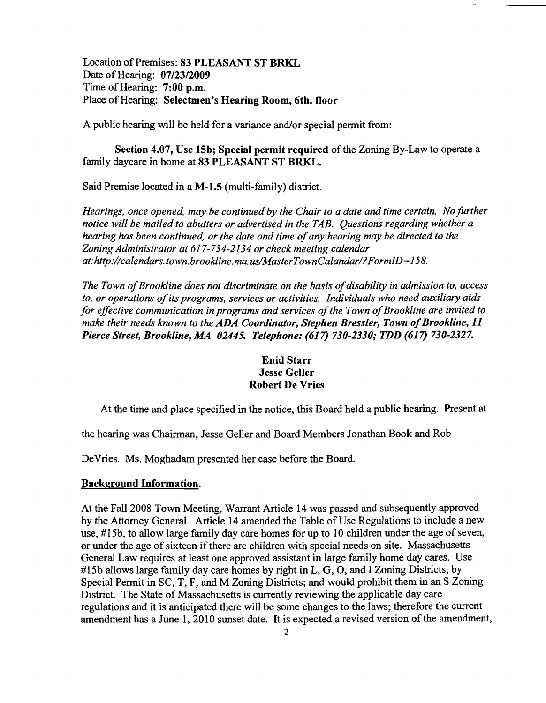Location of Premises: 83 PLEASANT ST BRKL Date of Hearing: 07/23/2009 Time of Hearing: 7:00 p.m. Place of Hearing: Selectmen's Hearing Room, 6th. floor

A public hearing will be held for a variance and/or special permit from:

Section 4.07, Use 15b; Special permit required of the Zoning By-Law to operate a family daycare in home at 83 PLEASANT ST BRKL.

Said Premise located in a M-1.5 (multi-family) district.

*Hearings, once opened, may be continued by the Chair to a date and time certain. No further notice will be mailed to abutters or advertised in the TAB. Questions regarding whether a hearing has been continued, or the date and time ofany hearing may be directed to the Zoning Administrator at* 617-734-2134 *or check meeting calendar at:http://calendars.town.brookline.ma.usIMasterTownCalandarl?FormID=158.* 

The Town of Brookline does not discriminate on the basis of disability in admission to, access *to, or operations ofits programs, services or activities. Individuals who need auxiliary aids for effective communication in programs and services of the Town of Brookline are invited to make their needs known to the ADA Coordinator, Stephen Bressler, Town of Brookline, 11 Pierce Street, Brookline, MA 02445. Telephone:* (617) *730-2330,. TDD* (617) *730-2327.* 

# Enid Starr Jesse Geller Robert De Vries

At the time and place specified in the notice, this Board held a public hearing. Present at

the hearing was Chairman, Jesse Geller and Board Members Jonathan Book and Rob

DeVries. Ms. Moghadam presented her case before the Board.

#### Background Information.

At the Fall 2008 Town Meeting, Warrant Article 14 was passed and subsequently approved by the Attorney General. Article 14 amended the Table of Use Regulations to include a new use, #15b, to allow large family day care homes for up to 10 children under the age of seven, or under the age of sixteen if there are children with special needs on site. Massachusetts General Law requires at least one approved assistant in large family home day cares. Use #15b allows large family day care homes by right in L, G, O, and I Zoning Districts; by Special Permit in SC, T, F, and M Zoning Districts; and would prohibit them in an S Zoning District. The State of Massachusetts is currently reviewing the applicable day care regulations and it is anticipated there will be some changes to the laws; therefore the current amendment has a June 1, 2010 sunset date. It is expected a revised version of the amendment,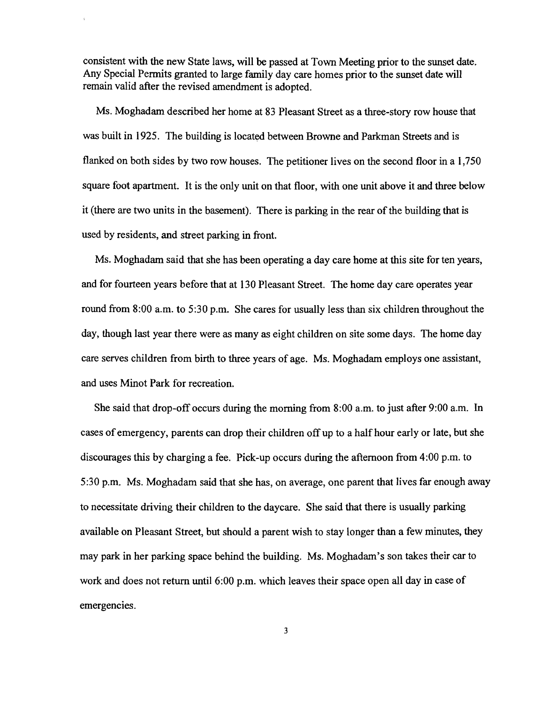consistent with the new State laws, will be passed at Town Meeting prior to the sunset date. Any Special Permits granted to large family day care homes prior to the sunset date will remain valid after the revised amendment is adopted.

Ms. Moghadam described her home at 83 Pleasant Street as a three-story row house that was built in 1925. The building is located between Browne and Parkman Streets and is flanked on both sides by two row houses. The petitioner lives on the second floor in a 1,750 square foot apartment. It is the only unit on that floor, with one unit above it and three below it (there are two units in the basement). There is parking in the rear of the building that is used by residents, and street parking in front.

Ms. Moghadam said that she has been operating a day care home at this site for ten years, and for fourteen years before that at 130 Pleasant Street. The home day care operates year round from 8:00 a.m. to 5:30 p.m. She cares for usually less than six children throughout the day, though last year there were as many as eight children on site some days. The home day care serves children from birth to three years of age. Ms. Moghadam employs one assistant, and uses Minot Park for recreation.

She said that drop-off occurs during the morning from 8:00 a.m. to just after 9:00 a.m. In cases of emergency, parents can drop their children off up to a half hour early or late, but she discourages this by charging a fee. Pick-up occurs during the afternoon from 4:00 p.m. to 5:30 p.m. Ms. Moghadam said that she has, on average, one parent that lives far enough away to necessitate driving their children to the daycare. She said that there is usually parking available on Pleasant Street, but should a parent wish to stay longer than a few minutes, they may park in her parking space behind the building. Ms. Moghadam's son takes their car to work and does not return until 6:00 p.m. which leaves their space open all day in case of emergencies.

3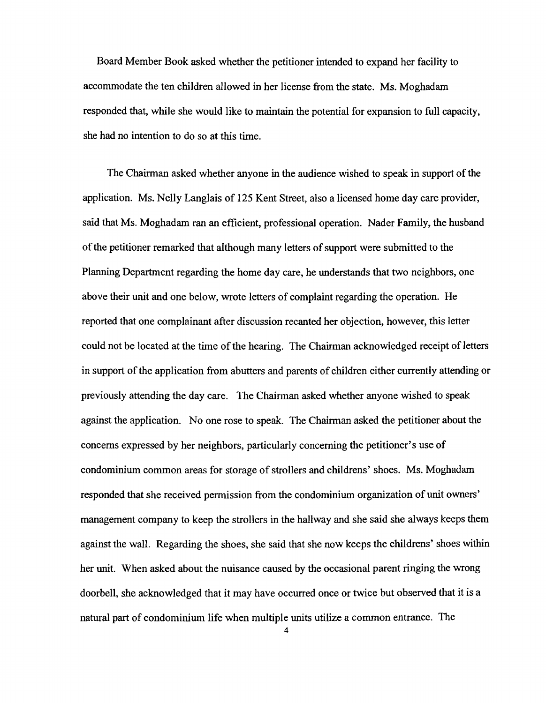Board Member Book asked whether the petitioner intended to expand her facility to accommodate the ten children allowed in her license from the state. Ms. Moghadam responded that, while she would like to maintain the potential for expansion to full capacity, she had no intention to do so at this time.

The Chairman asked whether anyone in the audience wished to speak in support of the application. Ms. Nelly Langlais of 125 Kent Street, also a licensed home day care provider, said that Ms. Moghadam ran an efficient, professional operation. Nader Family, the husband of the petitioner remarked that although many letters of support were submitted to the Planning Department regarding the home day care, he understands that two neighbors, one above their unit and one below, wrote letters of complaint regarding the operation. He reported that one complainant after discussion recanted her objection, however, this letter could not be located at the time of the hearing. The Chairman acknowledged receipt of letters in support of the application from abutters and parents of children either currently attending or previously attending the day care. The Chairman asked whether anyone wished to speak against the application. No one rose to speak. The Chairman asked the petitioner about the concerns expressed by her neighbors, particularly concerning the petitioner's use of condominium common areas for storage of strollers and childrens' shoes. Ms. Moghadam responded that she received permission from the condominium organization of unit owners' management company to keep the strollers in the hallway and she said she always keeps them against the wall. Regarding the shoes, she said that she now keeps the childrens' shoes within her unit. When asked about the nuisance caused by the occasional parent ringing the wrong doorbell, she acknowledged that it may have occurred once or twice but observed that it is a natural part of condominium life when multiple units utilize a common entrance. The

4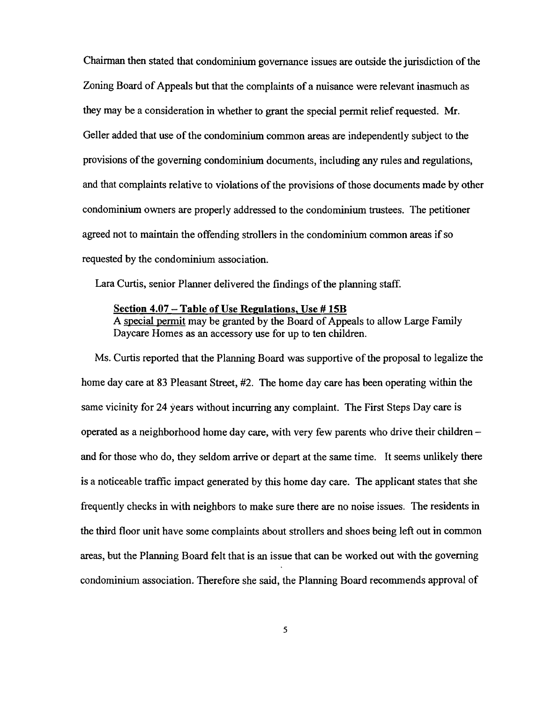Chairman then stated that condominium governance issues are outside the jurisdiction ofthe Zoning Board of Appeals but that the complaints of a nuisance were relevant inasmuch as they may be a consideration in whether to grant the special permit relief requested. Mr. Geller added that use of the condominium common areas are independently subject to the provisions of the governing condominium documents, including any rules and regulations, and that complaints relative to violations of the provisions of those documents made by other condominium owners are properly addressed to the condominium trustees. The petitioner agreed not to maintain the offending strollers in the condominium common areas ifso requested by the condominium association.

Lara Curtis, senior Planner delivered the findings of the planning staff.

#### Section 4.07 – Table of Use Regulations, Use #15B

A special permit may be granted by the Board of Appeals to allow Large Family Daycare Homes as an accessory use for up to ten children.

Ms. Curtis reported that the Planning Board was supportive of the proposal to legalize the home day care at 83 Pleasant Street, #2. The home day care has been operating within the same vicinity for 24 years without incurring any complaint. The First Steps Day care is operated as a neighborhood home day care, with very few parents who drive their children and for those who do, they seldom arrive or depart at the same time. It seems unlikely there is a noticeable traffic impact generated by this home day care. The applicant states that she frequently checks in with neighbors to make sure there are no noise issues. The residents in the third floor unit have some complaints about strollers and shoes being left out in common areas, but the Planning Board felt that is an issue that can be worked out with the governing condominium association. Therefore she said, the Planning Board recommends approval of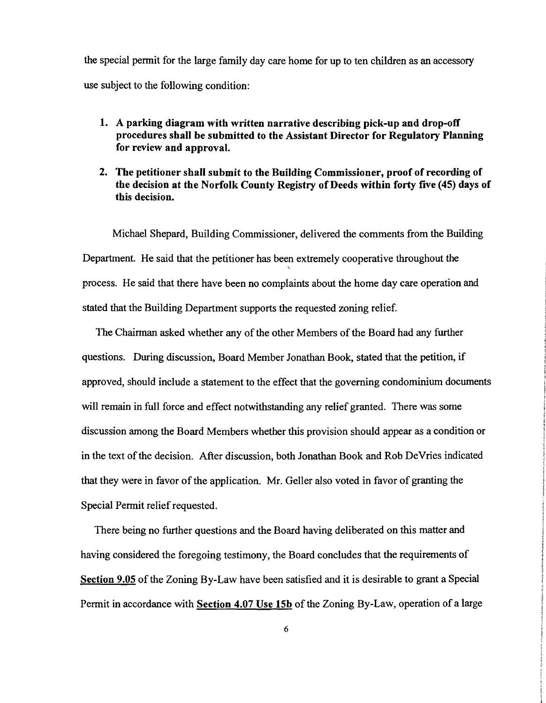the special pennit for the large family day care home for up to ten children as an accessory use subject to the following condition:

- 1. A parking diagram with written narrative describing pick-up and drop-off procedures shall be submitted to the Assistant Director for Regulatory Planning for review and approval.
- 2. The petitioner shall submit to the Building Commissioner, proof of recording of the decision at the Norfolk County Registry of Deeds within forty five (45) days of this decision.

Michael Shepard, Building Commissioner, delivered the comments from the Building Department. He said that the petitioner has been extremely cooperative throughout the ' process. He said that there have been no complaints about the home day care operation and stated that the Building Department supports the requested zoning relief.

The Chairman asked whether any of the other Members of the Board had any further questions. During discussion, Board Member Jonathan Book, stated that the petition, if approved, should include a statement to the effect that the governing condominium documents will remain in full force and effect notwithstanding any relief granted. There was some discussion among the Board Members whether this provision should appear as a condition or in the text of the decision. After discussion, both Jonathan Book and Rob DeVries indicated that they were in favor of the application. Mr. Geller also voted in favor of granting the Special Permit relief requested.

There being no further questions and the Board having deliberated on this matter and having considered the foregoing testimony, the Board concludes that the requirements of Section 9.05 of the Zoning By-Law have been satisfied and it is desirable to grant a Special Permit in accordance with Section 4.07 Use ISb of the Zoning By-Law, operation of a large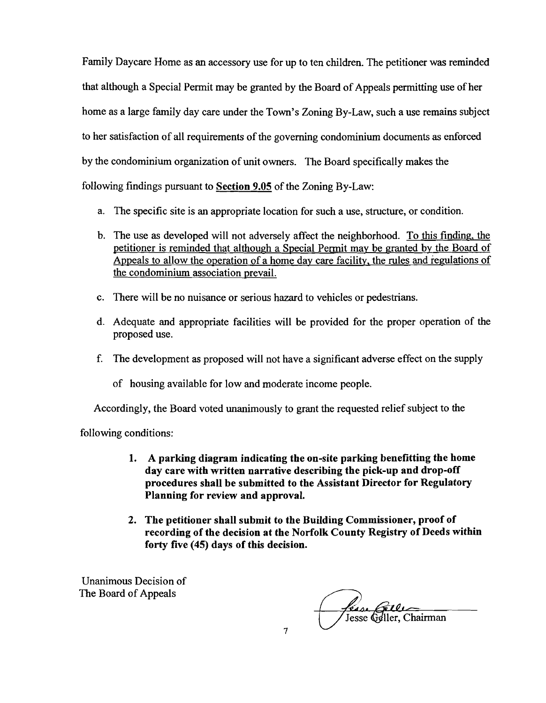Family Daycare Home as an accessory use for up to ten children. The petitioner was reminded that although a Special Permit may be granted by the Board of Appeals permitting use of her home as a large family day care under the Town's Zoning By-Law, such a use remains subject to her satisfaction of all requirements of the governing condominium documents as enforced by the condominium organization of unit owners. The Board specifically makes the following findings pursuant to Section 9.05 of the Zoning By-Law:

- a. The specific site is an appropriate location for such a use, structure, or condition.
- b. The use as developed will not adversely affect the neighborhood. To this finding, the petitioner is reminded that although a Special Permit may be granted by the Board of Appeals to allow the operation of a home day care facility, the rules and regulations of the condominium association prevail.
- c. There will be no nuisance or serious hazard to vehicles or pedestrians.
- d. Adequate and appropriate facilities will be provided for the proper operation of the proposed use.
- f. The development as proposed will not have a significant adverse effect on the supply

of housing available for low and moderate income people.

Accordingly, the Board voted unanimously to grant the requested relief subject to the

following conditions:

- 1. A parking diagram indicating the on-site parking benefitting the home day care with written narrative describing the pick-up and drop-off procedures shall be submitted to the Assistant Director for Regulatory Planning for review and approval.
- 2. The petitioner shall submit to the Building Commissioner, proof of recording of the decision at the Norfolk County Registry of Deeds within forty five (45) days of this decision.

Unanimous Decision of The Board of Appeals

*féase Gelle*<br>Jesse Geller, Chairman